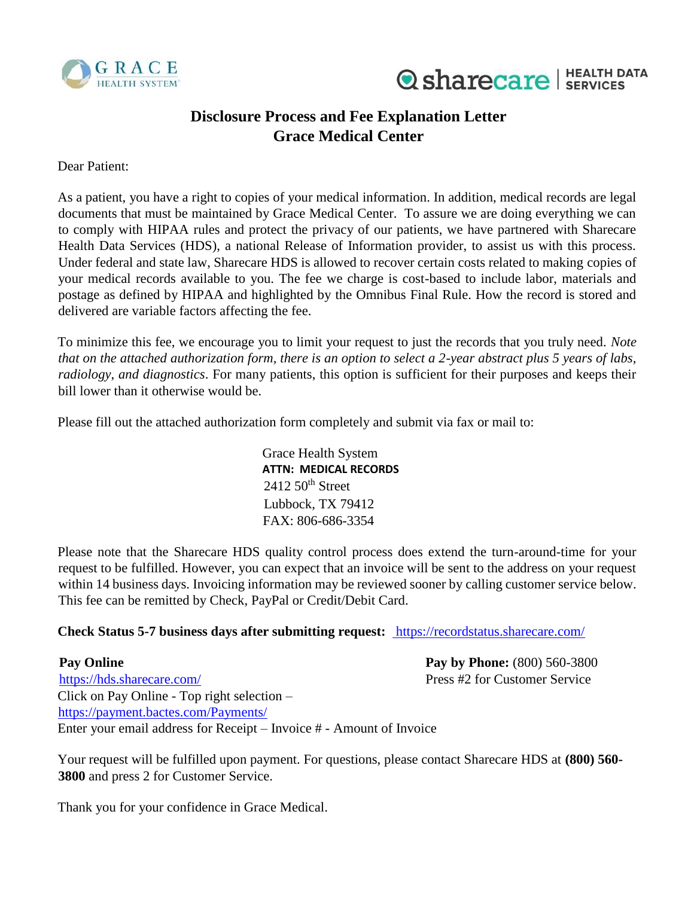



## **Disclosure Process and Fee Explanation Letter Grace Medical Center**

Dear Patient:

As a patient, you have a right to copies of your medical information. In addition, medical records are legal documents that must be maintained by Grace Medical Center. To assure we are doing everything we can to comply with HIPAA rules and protect the privacy of our patients, we have partnered with Sharecare Health Data Services (HDS), a national Release of Information provider, to assist us with this process. Under federal and state law, Sharecare HDS is allowed to recover certain costs related to making copies of your medical records available to you. The fee we charge is cost-based to include labor, materials and postage as defined by HIPAA and highlighted by the Omnibus Final Rule. How the record is stored and delivered are variable factors affecting the fee.

To minimize this fee, we encourage you to limit your request to just the records that you truly need. *Note that on the attached authorization form, there is an option to select a 2-year abstract plus 5 years of labs, radiology, and diagnostics*. For many patients, this option is sufficient for their purposes and keeps their bill lower than it otherwise would be.

Please fill out the attached authorization form completely and submit via fax or mail to:

Grace Health System **ATTN: MEDICAL RECORDS**  $2412\,50$ <sup>th</sup> Street Lubbock, TX 79412 FAX: 806-686-3354

Please note that the Sharecare HDS quality control process does extend the turn-around-time for your request to be fulfilled. However, you can expect that an invoice will be sent to the address on your request within 14 business days. Invoicing information may be reviewed sooner by calling customer service below. This fee can be remitted by Check, PayPal or Credit/Debit Card.

## **Check Status 5-7 business days after submitting request:** <https://recordstatus.sharecare.com/>

**Pay Online Pay Online Pay by Phone:** (800) 560-3800 <https://hds.sharecare.com/> [Pr](https://hds.sharecare.com/)ess #2 for Customer Service Click on Pay Online - Top right selection – <https://payment.bactes.com/Payments/> Enter your email address for Receipt – Invoice # - Amount of Invoice

Your request will be fulfilled upon payment. For questions, please contact Sharecare HDS at **(800) 560- 3800** and press 2 for Customer Service.

Thank you for your confidence in Grace Medical.